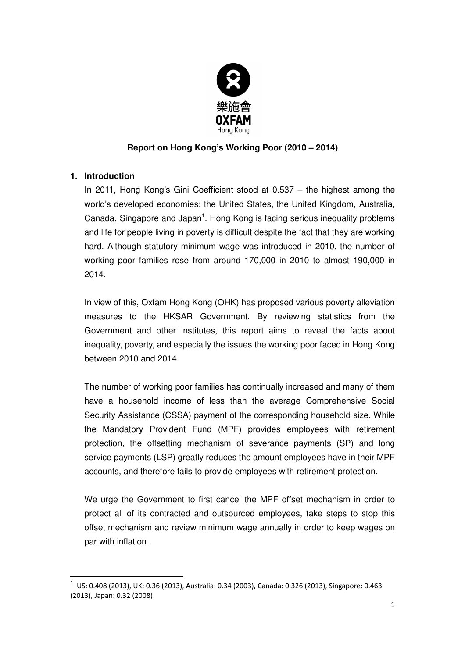

## **Report on Hong Kong's Working Poor (2010 – 2014)**

## **1. Introduction**

 $\overline{a}$ 

In 2011, Hong Kong's Gini Coefficient stood at 0.537 – the highest among the world's developed economies: the United States, the United Kingdom, Australia, Canada, Singapore and Japan<sup>1</sup>. Hong Kong is facing serious inequality problems and life for people living in poverty is difficult despite the fact that they are working hard. Although statutory minimum wage was introduced in 2010, the number of working poor families rose from around 170,000 in 2010 to almost 190,000 in 2014.

In view of this, Oxfam Hong Kong (OHK) has proposed various poverty alleviation measures to the HKSAR Government. By reviewing statistics from the Government and other institutes, this report aims to reveal the facts about inequality, poverty, and especially the issues the working poor faced in Hong Kong between 2010 and 2014.

The number of working poor families has continually increased and many of them have a household income of less than the average Comprehensive Social Security Assistance (CSSA) payment of the corresponding household size. While the Mandatory Provident Fund (MPF) provides employees with retirement protection, the offsetting mechanism of severance payments (SP) and long service payments (LSP) greatly reduces the amount employees have in their MPF accounts, and therefore fails to provide employees with retirement protection.

We urge the Government to first cancel the MPF offset mechanism in order to protect all of its contracted and outsourced employees, take steps to stop this offset mechanism and review minimum wage annually in order to keep wages on par with inflation.

 $^1$  US: 0.408 (2013), UK: 0.36 (2013), Australia: 0.34 (2003), Canada: 0.326 (2013), Singapore: 0.463 (2013), Japan: 0.32 (2008)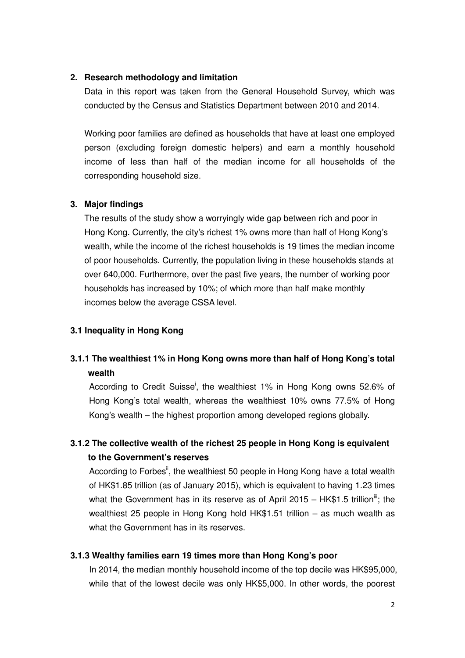#### **2. Research methodology and limitation**

Data in this report was taken from the General Household Survey, which was conducted by the Census and Statistics Department between 2010 and 2014.

Working poor families are defined as households that have at least one employed person (excluding foreign domestic helpers) and earn a monthly household income of less than half of the median income for all households of the corresponding household size.

#### **3. Major findings**

The results of the study show a worryingly wide gap between rich and poor in Hong Kong. Currently, the city's richest 1% owns more than half of Hong Kong's wealth, while the income of the richest households is 19 times the median income of poor households. Currently, the population living in these households stands at over 640,000. Furthermore, over the past five years, the number of working poor households has increased by 10%; of which more than half make monthly incomes below the average CSSA level.

#### **3.1 Inequality in Hong Kong**

# **3.1.1 The wealthiest 1% in Hong Kong owns more than half of Hong Kong's total wealth**

According to Credit Suisse<sup>i</sup>, the wealthiest 1% in Hong Kong owns 52.6% of Hong Kong's total wealth, whereas the wealthiest 10% owns 77.5% of Hong Kong's wealth – the highest proportion among developed regions globally.

# **3.1.2 The collective wealth of the richest 25 people in Hong Kong is equivalent to the Government's reserves**

According to Forbes<sup>ii</sup>, the wealthiest 50 people in Hong Kong have a total wealth of HK\$1.85 trillion (as of January 2015), which is equivalent to having 1.23 times what the Government has in its reserve as of April 2015 – HK\$1.5 trillion<sup>iii</sup>; the wealthiest 25 people in Hong Kong hold HK\$1.51 trillion – as much wealth as what the Government has in its reserves.

#### **3.1.3 Wealthy families earn 19 times more than Hong Kong's poor**

In 2014, the median monthly household income of the top decile was HK\$95,000, while that of the lowest decile was only HK\$5,000. In other words, the poorest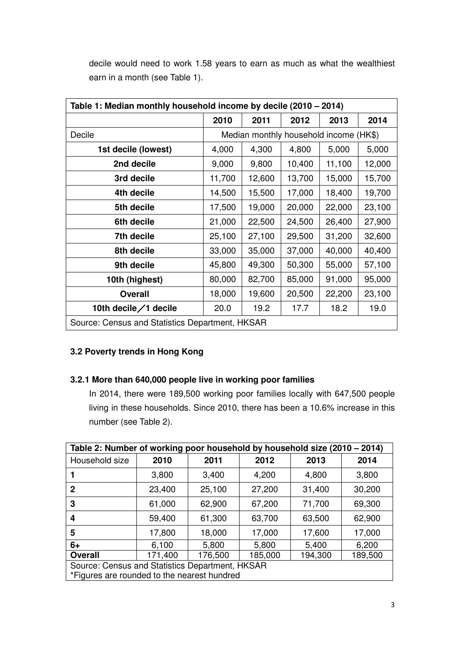| Table 1: Median monthly household income by decile (2010 – 2014) |        |        |                                        |        |        |  |
|------------------------------------------------------------------|--------|--------|----------------------------------------|--------|--------|--|
|                                                                  | 2010   | 2011   | 2012                                   | 2013   | 2014   |  |
| Decile                                                           |        |        | Median monthly household income (HK\$) |        |        |  |
| 1st decile (lowest)                                              | 4,000  | 4,300  | 4,800                                  | 5,000  | 5,000  |  |
| 2nd decile                                                       | 9,000  | 9,800  | 10,400                                 | 11,100 | 12,000 |  |
| 3rd decile                                                       | 11,700 | 12,600 | 13,700                                 | 15,000 | 15,700 |  |
| 4th decile                                                       | 14,500 | 15,500 | 17,000                                 | 18,400 | 19,700 |  |
| 5th decile                                                       | 17,500 | 19,000 | 20,000                                 | 22,000 | 23,100 |  |
| 6th decile                                                       | 21,000 | 22,500 | 24,500                                 | 26,400 | 27,900 |  |
| 7th decile                                                       | 25,100 | 27,100 | 29,500                                 | 31,200 | 32,600 |  |
| 8th decile                                                       | 33,000 | 35,000 | 37,000                                 | 40,000 | 40,400 |  |
| 9th decile                                                       | 45,800 | 49,300 | 50,300                                 | 55,000 | 57,100 |  |
| 10th (highest)                                                   | 80,000 | 82,700 | 85,000                                 | 91,000 | 95,000 |  |
| <b>Overall</b>                                                   | 18,000 | 19,600 | 20,500                                 | 22,200 | 23,100 |  |
| 10th decile/1 decile<br>19.2<br>19.0<br>20.0<br>17.7<br>18.2     |        |        |                                        |        |        |  |
| Source: Census and Statistics Department, HKSAR                  |        |        |                                        |        |        |  |

decile would need to work 1.58 years to earn as much as what the wealthiest earn in a month (see Table 1).

## **3.2 Poverty trends in Hong Kong**

## **3.2.1 More than 640,000 people live in working poor families**

In 2014, there were 189,500 working poor families locally with 647,500 people living in these households. Since 2010, there has been a 10.6% increase in this number (see Table 2).

| Table 2: Number of working poor household by household size (2010 - 2014) |         |         |         |         |         |  |  |
|---------------------------------------------------------------------------|---------|---------|---------|---------|---------|--|--|
| Household size                                                            | 2010    | 2011    | 2012    | 2013    | 2014    |  |  |
|                                                                           | 3,800   | 3,400   | 4,200   | 4,800   | 3,800   |  |  |
| 2                                                                         | 23,400  | 25,100  | 27,200  | 31,400  | 30,200  |  |  |
| 3                                                                         | 61,000  | 62,900  | 67,200  | 71,700  | 69,300  |  |  |
| 4                                                                         | 59,400  | 61,300  | 63,700  | 63,500  | 62,900  |  |  |
| 5                                                                         | 17,800  | 18,000  | 17,000  | 17,600  | 17,000  |  |  |
| $6+$                                                                      | 6,100   | 5,800   | 5,800   | 5,400   | 6,200   |  |  |
| <b>Overall</b>                                                            | 171,400 | 176,500 | 185,000 | 194,300 | 189,500 |  |  |
| Source: Census and Statistics Department, HKSAR                           |         |         |         |         |         |  |  |
| *Figures are rounded to the nearest hundred                               |         |         |         |         |         |  |  |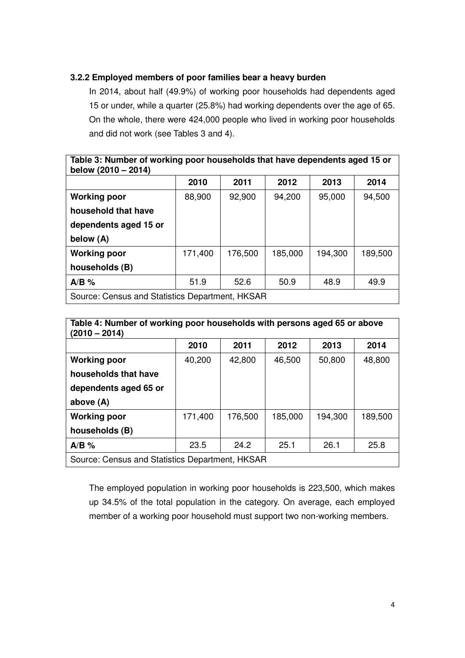## **3.2.2 Employed members of poor families bear a heavy burden**

In 2014, about half (49.9%) of working poor households had dependents aged 15 or under, while a quarter (25.8%) had working dependents over the age of 65. On the whole, there were 424,000 people who lived in working poor households and did not work (see Tables 3 and 4).

| Table 3: Number of working poor households that have dependents aged 15 or<br>below (2010 - 2014) |         |         |         |         |         |  |  |
|---------------------------------------------------------------------------------------------------|---------|---------|---------|---------|---------|--|--|
|                                                                                                   | 2010    | 2011    | 2012    | 2013    | 2014    |  |  |
| <b>Working poor</b>                                                                               | 88,900  | 92,900  | 94,200  | 95,000  | 94,500  |  |  |
| household that have                                                                               |         |         |         |         |         |  |  |
| dependents aged 15 or                                                                             |         |         |         |         |         |  |  |
| below (A)                                                                                         |         |         |         |         |         |  |  |
| <b>Working poor</b>                                                                               | 171,400 | 176,500 | 185,000 | 194,300 | 189,500 |  |  |
| households (B)                                                                                    |         |         |         |         |         |  |  |
| $A/B$ %                                                                                           | 51.9    | 52.6    | 50.9    | 48.9    | 49.9    |  |  |
| Source: Census and Statistics Department, HKSAR                                                   |         |         |         |         |         |  |  |

| Table 4: Number of working poor households with persons aged 65 or above<br>$(2010 - 2014)$ |         |         |         |         |         |  |  |
|---------------------------------------------------------------------------------------------|---------|---------|---------|---------|---------|--|--|
|                                                                                             | 2010    | 2011    | 2012    | 2013    | 2014    |  |  |
| <b>Working poor</b>                                                                         | 40,200  | 42,800  | 46,500  | 50,800  | 48,800  |  |  |
| households that have                                                                        |         |         |         |         |         |  |  |
| dependents aged 65 or                                                                       |         |         |         |         |         |  |  |
| above $(A)$                                                                                 |         |         |         |         |         |  |  |
| <b>Working poor</b>                                                                         | 171,400 | 176,500 | 185,000 | 194,300 | 189,500 |  |  |
| households (B)                                                                              |         |         |         |         |         |  |  |
| $A/B$ %                                                                                     | 23.5    | 24.2    | 25.1    | 26.1    | 25.8    |  |  |
| Source: Census and Statistics Department, HKSAR                                             |         |         |         |         |         |  |  |

The employed population in working poor households is 223,500, which makes up 34.5% of the total population in the category. On average, each employed member of a working poor household must support two non-working members.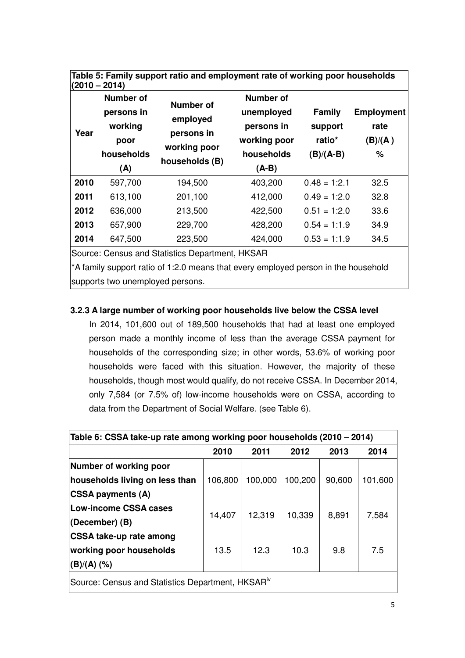| Table 5: Family support ratio and employment rate of working poor households<br>$(2010 - 2014)$ |                                                                        |                                                                              |                                                                                       |                                                   |                                           |  |  |  |  |  |  |
|-------------------------------------------------------------------------------------------------|------------------------------------------------------------------------|------------------------------------------------------------------------------|---------------------------------------------------------------------------------------|---------------------------------------------------|-------------------------------------------|--|--|--|--|--|--|
| Year                                                                                            | <b>Number of</b><br>persons in<br>working<br>poor<br>households<br>(A) | <b>Number of</b><br>employed<br>persons in<br>working poor<br>households (B) | <b>Number of</b><br>unemployed<br>persons in<br>working poor<br>households<br>$(A-B)$ | <b>Family</b><br>support<br>ratio*<br>$(B)/(A-B)$ | <b>Employment</b><br>rate<br>(B)/(A)<br>% |  |  |  |  |  |  |
| 2010                                                                                            | 597,700                                                                | 194,500                                                                      | 403,200                                                                               | $0.48 = 1:2.1$                                    | 32.5                                      |  |  |  |  |  |  |
| 2011                                                                                            | 613,100                                                                | 201,100                                                                      | 412,000                                                                               | $0.49 = 1:2.0$                                    | 32.8                                      |  |  |  |  |  |  |
| 2012                                                                                            | 636,000                                                                | 213,500                                                                      | 422,500                                                                               | $0.51 = 1:2.0$                                    | 33.6                                      |  |  |  |  |  |  |
| 2013                                                                                            | 657,900                                                                | 229,700                                                                      | 428,200                                                                               | $0.54 = 1:1.9$                                    | 34.9                                      |  |  |  |  |  |  |
| 2014                                                                                            | 647,500                                                                | 223,500                                                                      | 424,000                                                                               | $0.53 = 1:1.9$                                    | 34.5                                      |  |  |  |  |  |  |
|                                                                                                 |                                                                        | $\mathsf{R}$ ource: Cansus and Statistics Denartment $\mathsf{HKSAR}$        |                                                                                       |                                                   |                                           |  |  |  |  |  |  |

ensus and Statistics Department, HKSAR

\*A family support ratio of 1:2.0 means that every employed person in the household supports two unemployed persons.

# **3.2.3 A large number of working poor households live below the CSSA level**

In 2014, 101,600 out of 189,500 households that had at least one employed person made a monthly income of less than the average CSSA payment for households of the corresponding size; in other words, 53.6% of working poor households were faced with this situation. However, the majority of these households, though most would qualify, do not receive CSSA. In December 2014, only 7,584 (or 7.5% of) low-income households were on CSSA, according to data from the Department of Social Welfare. (see Table 6).

| Table 6: CSSA take-up rate among working poor households (2010 – 2014) |         |         |         |        |         |  |
|------------------------------------------------------------------------|---------|---------|---------|--------|---------|--|
|                                                                        | 2010    | 2011    | 2012    | 2013   | 2014    |  |
| Number of working poor                                                 |         |         |         |        |         |  |
| households living on less than                                         | 106,800 | 100,000 | 100,200 | 90,600 | 101,600 |  |
| <b>CSSA payments (A)</b>                                               |         |         |         |        |         |  |
| Low-income CSSA cases                                                  | 14,407  | 12,319  | 10,339  | 8,891  | 7,584   |  |
| (December) (B)                                                         |         |         |         |        |         |  |
| <b>CSSA take-up rate among</b>                                         |         |         |         |        |         |  |
| working poor households                                                | 13.5    | 12.3    | 10.3    | 9.8    | 7.5     |  |
| (B)/(A) (%)                                                            |         |         |         |        |         |  |
| Source: Census and Statistics Department, HKSAR <sup>iv</sup>          |         |         |         |        |         |  |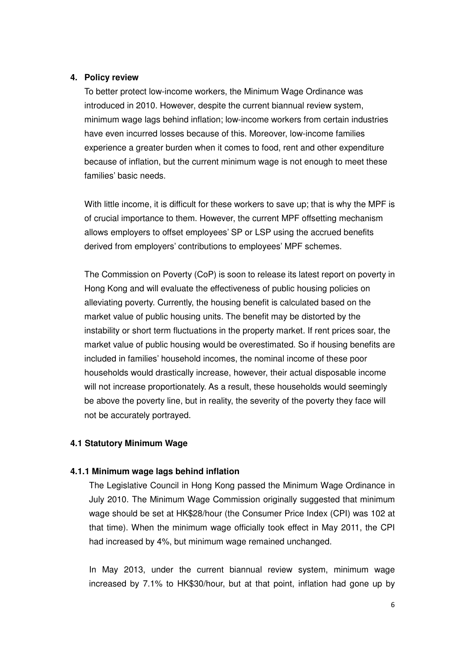#### **4. Policy review**

To better protect low-income workers, the Minimum Wage Ordinance was introduced in 2010. However, despite the current biannual review system, minimum wage lags behind inflation; low-income workers from certain industries have even incurred losses because of this. Moreover, low-income families experience a greater burden when it comes to food, rent and other expenditure because of inflation, but the current minimum wage is not enough to meet these families' basic needs.

With little income, it is difficult for these workers to save up; that is why the MPF is of crucial importance to them. However, the current MPF offsetting mechanism allows employers to offset employees' SP or LSP using the accrued benefits derived from employers' contributions to employees' MPF schemes.

The Commission on Poverty (CoP) is soon to release its latest report on poverty in Hong Kong and will evaluate the effectiveness of public housing policies on alleviating poverty. Currently, the housing benefit is calculated based on the market value of public housing units. The benefit may be distorted by the instability or short term fluctuations in the property market. If rent prices soar, the market value of public housing would be overestimated. So if housing benefits are included in families' household incomes, the nominal income of these poor households would drastically increase, however, their actual disposable income will not increase proportionately. As a result, these households would seemingly be above the poverty line, but in reality, the severity of the poverty they face will not be accurately portrayed.

### **4.1 Statutory Minimum Wage**

#### **4.1.1 Minimum wage lags behind inflation**

The Legislative Council in Hong Kong passed the Minimum Wage Ordinance in July 2010. The Minimum Wage Commission originally suggested that minimum wage should be set at HK\$28/hour (the Consumer Price Index (CPI) was 102 at that time). When the minimum wage officially took effect in May 2011, the CPI had increased by 4%, but minimum wage remained unchanged.

In May 2013, under the current biannual review system, minimum wage increased by 7.1% to HK\$30/hour, but at that point, inflation had gone up by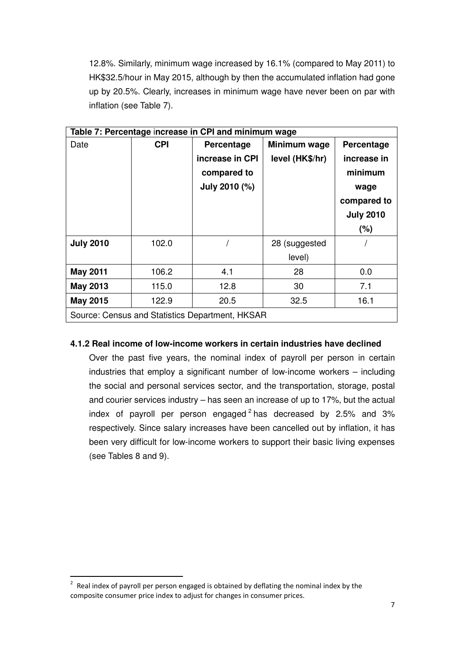12.8%. Similarly, minimum wage increased by 16.1% (compared to May 2011) to HK\$32.5/hour in May 2015, although by then the accumulated inflation had gone up by 20.5%. Clearly, increases in minimum wage have never been on par with inflation (see Table 7).

| Table 7: Percentage increase in CPI and minimum wage |            |                                                 |                 |                  |  |  |
|------------------------------------------------------|------------|-------------------------------------------------|-----------------|------------------|--|--|
| Date                                                 | <b>CPI</b> | Percentage                                      | Minimum wage    | Percentage       |  |  |
|                                                      |            | increase in CPI                                 | level (HK\$/hr) | increase in      |  |  |
|                                                      |            | compared to                                     |                 | minimum          |  |  |
|                                                      |            | July 2010 (%)                                   |                 | wage             |  |  |
|                                                      |            |                                                 |                 | compared to      |  |  |
|                                                      |            |                                                 |                 | <b>July 2010</b> |  |  |
|                                                      |            |                                                 |                 | (%)              |  |  |
| <b>July 2010</b>                                     | 102.0      |                                                 | 28 (suggested   |                  |  |  |
|                                                      |            |                                                 | level)          |                  |  |  |
| <b>May 2011</b>                                      | 106.2      | 4.1                                             | 28              | 0.0              |  |  |
| <b>May 2013</b>                                      | 115.0      | 12.8                                            | 30              | 7.1              |  |  |
| <b>May 2015</b>                                      | 122.9      | 20.5                                            | 32.5            | 16.1             |  |  |
|                                                      |            | Source: Census and Statistics Department, HKSAR |                 |                  |  |  |

## **4.1.2 Real income of low-income workers in certain industries have declined**

Over the past five years, the nominal index of payroll per person in certain industries that employ a significant number of low-income workers – including the social and personal services sector, and the transportation, storage, postal and courier services industry – has seen an increase of up to 17%, but the actual index of payroll per person engaged  $2$  has decreased by 2.5% and 3% respectively. Since salary increases have been cancelled out by inflation, it has been very difficult for low-income workers to support their basic living expenses (see Tables 8 and 9).

 $\overline{a}$ 

 $2$  Real index of payroll per person engaged is obtained by deflating the nominal index by the composite consumer price index to adjust for changes in consumer prices.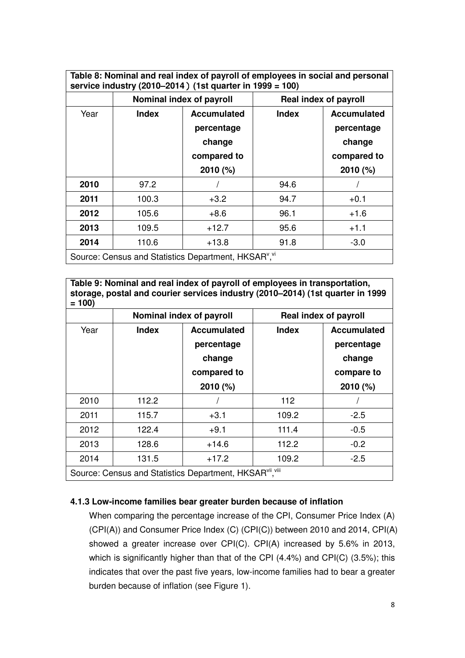|      |              | Nominal index of payroll                   |              | <b>Real index of payroll</b>               |  |  |
|------|--------------|--------------------------------------------|--------------|--------------------------------------------|--|--|
| Year | <b>Index</b> | <b>Accumulated</b><br>percentage<br>change | <b>Index</b> | <b>Accumulated</b><br>percentage<br>change |  |  |
|      |              | compared to<br>2010(%)                     |              | compared to<br>2010 (%)                    |  |  |
| 2010 | 97.2         |                                            | 94.6         |                                            |  |  |
| 2011 | 100.3        | $+3.2$                                     | 94.7         | $+0.1$                                     |  |  |
| 2012 | 105.6        | $+8.6$                                     | 96.1         | $+1.6$                                     |  |  |
| 2013 | 109.5        | $+12.7$                                    | 95.6         | $+1.1$                                     |  |  |
| 2014 | 110.6        | $+13.8$                                    | 91.8         | $-3.0$                                     |  |  |

**Table 9: Nominal and real index of payroll of employees in transportation, storage, postal and courier services industry (2010–2014) (1st quarter in 1999**   $= 100$ 

|      |                                                          | Nominal index of payroll                                             |              | Real index of payroll                                                  |
|------|----------------------------------------------------------|----------------------------------------------------------------------|--------------|------------------------------------------------------------------------|
| Year | <b>Index</b>                                             | <b>Accumulated</b><br>percentage<br>change<br>compared to<br>2010(%) | <b>Index</b> | <b>Accumulated</b><br>percentage<br>change<br>compare to<br>$2010$ (%) |
| 2010 | 112.2                                                    |                                                                      | 112          |                                                                        |
| 2011 | 115.7                                                    | $+3.1$                                                               | 109.2        | $-2.5$                                                                 |
| 2012 | 122.4                                                    | $+9.1$                                                               | 111.4        | $-0.5$                                                                 |
| 2013 | 128.6                                                    | $+14.6$                                                              | 112.2        | $-0.2$                                                                 |
| 2014 | 131.5                                                    | $+17.2$                                                              | 109.2        | $-2.5$                                                                 |
|      | Source: Census and Statistics Department, HKSARvil, viii |                                                                      |              |                                                                        |

## **4.1.3 Low-income families bear greater burden because of inflation**

When comparing the percentage increase of the CPI, Consumer Price Index (A) (CPI(A)) and Consumer Price Index (C) (CPI(C)) between 2010 and 2014, CPI(A) showed a greater increase over CPI(C). CPI(A) increased by 5.6% in 2013, which is significantly higher than that of the CPI (4.4%) and CPI(C) (3.5%); this indicates that over the past five years, low-income families had to bear a greater burden because of inflation (see Figure 1).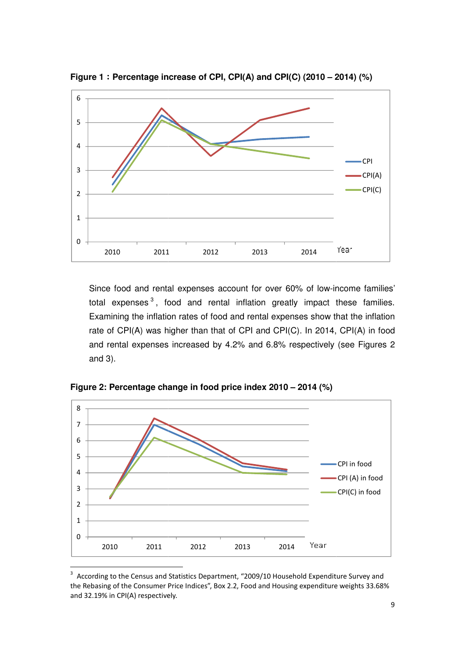

Figure 1: Percentage increase of CPI, CPI(A) and CPI(C) (2010 – 2014) (%)

Since food and rental expenses account for over 60% of low-income families' total expenses<sup>3</sup>, food and rental inflation greatly impact these families. Examining the inflation rates of food and rental expenses show that the inflation rate of CPI(A) was higher than that of CPI and CPI(C). In 2014, CPI(A) in food and rental expenses increased by 4.2% and 6.8% respectively (see Figures 2 and 3).



**Figure 2: Percentage change in food price index 201 2010 – 2014 (%)**

<sup>3</sup> According to the Census and Statistics Department, "2009/10 Household Expenditure Survey and the Rebasing of the Consumer Price Indices", Box 2.2, Food and Housing expenditure weights 33.68% and 32.19% in CPI(A) respectively.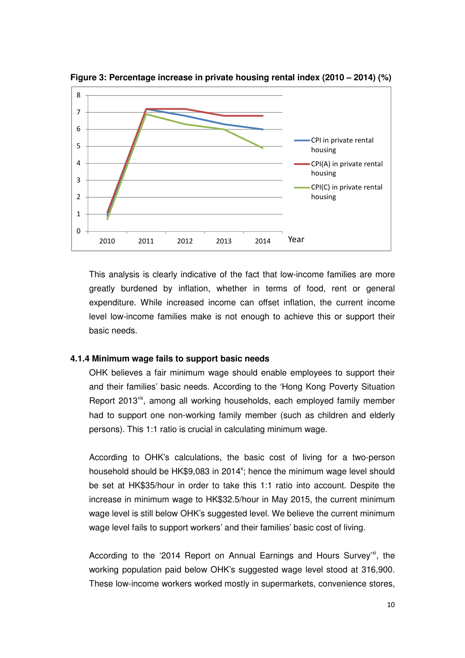

**Figure 3: Percentage increase in private housing rental index (2010 – 2014) (%)**

This analysis is clearly indicative of the fact that low-income families are more greatly burdened by inflation, whether in terms of food, rent or general expenditure. While increased income can offset inflation, the current income level low-income families make is not enough to achieve this or support their basic needs.

### **4.1.4 Minimum wage fails to support basic needs**

OHK believes a fair minimum wage should enable employees to support their and their families' basic needs. According to the 'Hong Kong Poverty Situation Report 2013<sup>tx</sup>, among all working households, each employed family member had to support one non-working family member (such as children and elderly persons). This 1:1 ratio is crucial in calculating minimum wage.

According to OHK's calculations, the basic cost of living for a two-person household should be HK\$9,083 in 2014<sup>x</sup>; hence the minimum wage level should be set at HK\$35/hour in order to take this 1:1 ratio into account. Despite the increase in minimum wage to HK\$32.5/hour in May 2015, the current minimum wage level is still below OHK's suggested level. We believe the current minimum wage level fails to support workers' and their families' basic cost of living.

According to the '2014 Report on Annual Earnings and Hours Survey'xi, the working population paid below OHK's suggested wage level stood at 316,900. These low-income workers worked mostly in supermarkets, convenience stores,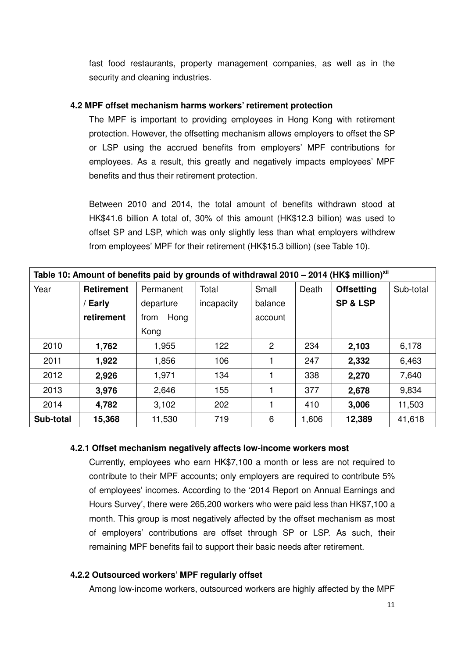fast food restaurants, property management companies, as well as in the security and cleaning industries.

#### **4.2 MPF offset mechanism harms workers' retirement protection**

The MPF is important to providing employees in Hong Kong with retirement protection. However, the offsetting mechanism allows employers to offset the SP or LSP using the accrued benefits from employers' MPF contributions for employees. As a result, this greatly and negatively impacts employees' MPF benefits and thus their retirement protection.

Between 2010 and 2014, the total amount of benefits withdrawn stood at HK\$41.6 billion A total of, 30% of this amount (HK\$12.3 billion) was used to offset SP and LSP, which was only slightly less than what employers withdrew from employees' MPF for their retirement (HK\$15.3 billion) (see Table 10).

| Table 10: Amount of benefits paid by grounds of withdrawal 2010 - 2014 (HK\$ million) <sup>xii</sup> |                   |              |            |         |       |                     |           |  |
|------------------------------------------------------------------------------------------------------|-------------------|--------------|------------|---------|-------|---------------------|-----------|--|
| Year                                                                                                 | <b>Retirement</b> | Permanent    | Total      | Small   | Death | <b>Offsetting</b>   | Sub-total |  |
|                                                                                                      | / Early           | departure    | incapacity | balance |       | <b>SP &amp; LSP</b> |           |  |
|                                                                                                      | retirement        | Hong<br>from |            | account |       |                     |           |  |
|                                                                                                      |                   | Kong         |            |         |       |                     |           |  |
| 2010                                                                                                 | 1,762             | 1,955        | 122        | 2       | 234   | 2,103               | 6,178     |  |
| 2011                                                                                                 | 1,922             | 1,856        | 106        |         | 247   | 2,332               | 6,463     |  |
| 2012                                                                                                 | 2,926             | 1,971        | 134        | 1       | 338   | 2,270               | 7,640     |  |
| 2013                                                                                                 | 3,976             | 2,646        | 155        | 1       | 377   | 2,678               | 9,834     |  |
| 2014                                                                                                 | 4,782             | 3,102        | 202        | 1       | 410   | 3,006               | 11,503    |  |
| Sub-total                                                                                            | 15,368            | 11,530       | 719        | 6       | 1,606 | 12,389              | 41,618    |  |

#### **4.2.1 Offset mechanism negatively affects low-income workers most**

Currently, employees who earn HK\$7,100 a month or less are not required to contribute to their MPF accounts; only employers are required to contribute 5% of employees' incomes. According to the '2014 Report on Annual Earnings and Hours Survey', there were 265,200 workers who were paid less than HK\$7,100 a month. This group is most negatively affected by the offset mechanism as most of employers' contributions are offset through SP or LSP. As such, their remaining MPF benefits fail to support their basic needs after retirement.

#### **4.2.2 Outsourced workers' MPF regularly offset**

Among low-income workers, outsourced workers are highly affected by the MPF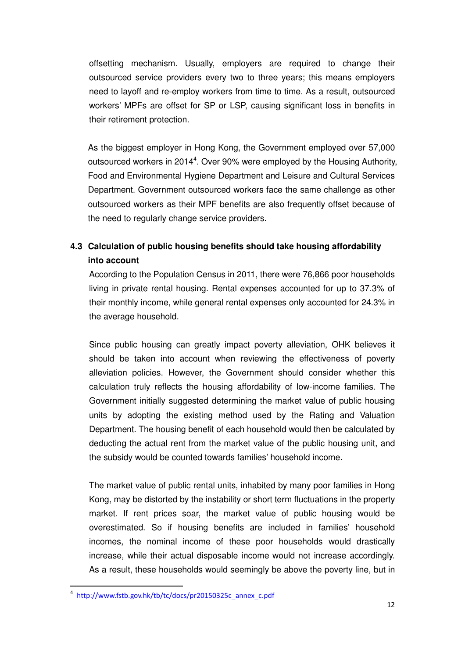offsetting mechanism. Usually, employers are required to change their outsourced service providers every two to three years; this means employers need to layoff and re-employ workers from time to time. As a result, outsourced workers' MPFs are offset for SP or LSP, causing significant loss in benefits in their retirement protection.

As the biggest employer in Hong Kong, the Government employed over 57,000 outsourced workers in 2014<sup>4</sup>. Over 90% were employed by the Housing Authority, Food and Environmental Hygiene Department and Leisure and Cultural Services Department. Government outsourced workers face the same challenge as other outsourced workers as their MPF benefits are also frequently offset because of the need to regularly change service providers.

# **4.3 Calculation of public housing benefits should take housing affordability into account**

According to the Population Census in 2011, there were 76,866 poor households living in private rental housing. Rental expenses accounted for up to 37.3% of their monthly income, while general rental expenses only accounted for 24.3% in the average household.

Since public housing can greatly impact poverty alleviation, OHK believes it should be taken into account when reviewing the effectiveness of poverty alleviation policies. However, the Government should consider whether this calculation truly reflects the housing affordability of low-income families. The Government initially suggested determining the market value of public housing units by adopting the existing method used by the Rating and Valuation Department. The housing benefit of each household would then be calculated by deducting the actual rent from the market value of the public housing unit, and the subsidy would be counted towards families' household income.

The market value of public rental units, inhabited by many poor families in Hong Kong, may be distorted by the instability or short term fluctuations in the property market. If rent prices soar, the market value of public housing would be overestimated. So if housing benefits are included in families' household incomes, the nominal income of these poor households would drastically increase, while their actual disposable income would not increase accordingly. As a result, these households would seemingly be above the poverty line, but in

l

<sup>4</sup> http://www.fstb.gov.hk/tb/tc/docs/pr20150325c\_annex\_c.pdf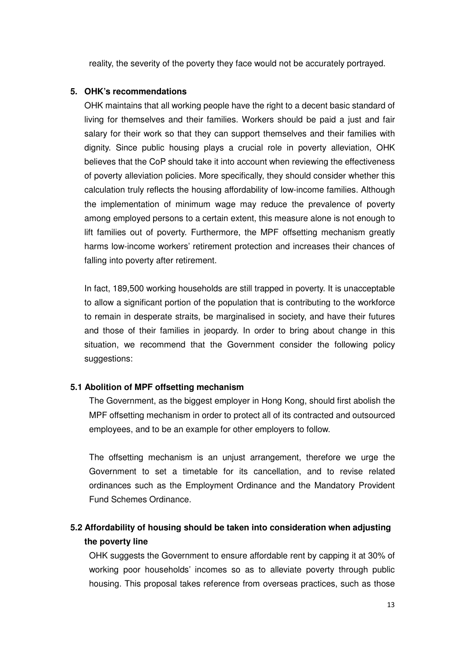reality, the severity of the poverty they face would not be accurately portrayed.

### **5. OHK's recommendations**

OHK maintains that all working people have the right to a decent basic standard of living for themselves and their families. Workers should be paid a just and fair salary for their work so that they can support themselves and their families with dignity. Since public housing plays a crucial role in poverty alleviation, OHK believes that the CoP should take it into account when reviewing the effectiveness of poverty alleviation policies. More specifically, they should consider whether this calculation truly reflects the housing affordability of low-income families. Although the implementation of minimum wage may reduce the prevalence of poverty among employed persons to a certain extent, this measure alone is not enough to lift families out of poverty. Furthermore, the MPF offsetting mechanism greatly harms low-income workers' retirement protection and increases their chances of falling into poverty after retirement.

In fact, 189,500 working households are still trapped in poverty. It is unacceptable to allow a significant portion of the population that is contributing to the workforce to remain in desperate straits, be marginalised in society, and have their futures and those of their families in jeopardy. In order to bring about change in this situation, we recommend that the Government consider the following policy suggestions:

## **5.1 Abolition of MPF offsetting mechanism**

The Government, as the biggest employer in Hong Kong, should first abolish the MPF offsetting mechanism in order to protect all of its contracted and outsourced employees, and to be an example for other employers to follow.

The offsetting mechanism is an unjust arrangement, therefore we urge the Government to set a timetable for its cancellation, and to revise related ordinances such as the Employment Ordinance and the Mandatory Provident Fund Schemes Ordinance.

# **5.2 Affordability of housing should be taken into consideration when adjusting the poverty line**

OHK suggests the Government to ensure affordable rent by capping it at 30% of working poor households' incomes so as to alleviate poverty through public housing. This proposal takes reference from overseas practices, such as those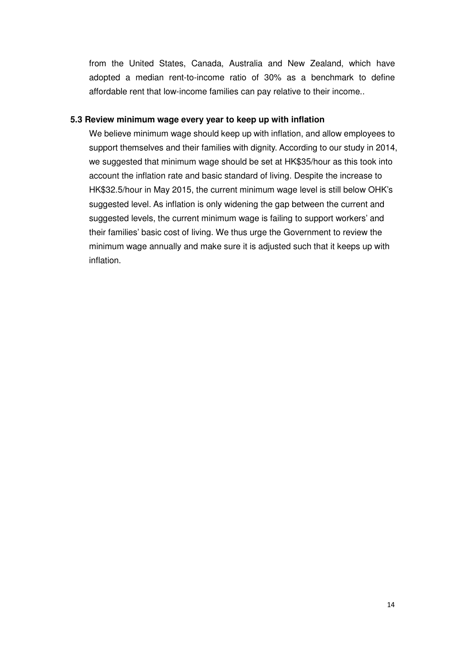from the United States, Canada, Australia and New Zealand, which have adopted a median rent-to-income ratio of 30% as a benchmark to define affordable rent that low-income families can pay relative to their income..

### **5.3 Review minimum wage every year to keep up with inflation**

We believe minimum wage should keep up with inflation, and allow employees to support themselves and their families with dignity. According to our study in 2014, we suggested that minimum wage should be set at HK\$35/hour as this took into account the inflation rate and basic standard of living. Despite the increase to HK\$32.5/hour in May 2015, the current minimum wage level is still below OHK's suggested level. As inflation is only widening the gap between the current and suggested levels, the current minimum wage is failing to support workers' and their families' basic cost of living. We thus urge the Government to review the minimum wage annually and make sure it is adjusted such that it keeps up with inflation.